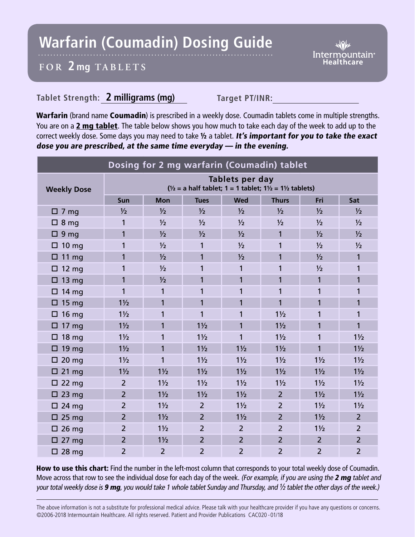## **Warfarin (Coumadin) Dosing Guide**

Intermountain<sup>®</sup>

## **FOR 2 mg TABL ETS**

## **Tablet Strength: 2 milligrams (mg) Target PT/INR:**

Warfarin (brand name Coumadin) is prescribed in a weekly dose. Coumadin tablets come in multiple strengths. You are on a 2 mg tablet. The table below shows you how much to take each day of the week to add up to the correct weekly dose. Some days you may need to take 1/2 a tablet. It's important for you to take the exact dose you are prescribed, at the same time everyday — in the evening.

| Dosing for 2 mg warfarin (Coumadin) tablet |                                                                                                            |                |                |                |                |                |                |
|--------------------------------------------|------------------------------------------------------------------------------------------------------------|----------------|----------------|----------------|----------------|----------------|----------------|
| <b>Weekly Dose</b>                         | Tablets per day<br>$\frac{1}{2}$ = a half tablet; 1 = 1 tablet; 1 $\frac{1}{2}$ = 1 $\frac{1}{2}$ tablets) |                |                |                |                |                |                |
|                                            | Sun                                                                                                        | <b>Mon</b>     | <b>Tues</b>    | <b>Wed</b>     | <b>Thurs</b>   | Fri            | Sat            |
| $\square$ 7 mg                             | $\frac{1}{2}$                                                                                              | $\frac{1}{2}$  | $\frac{1}{2}$  | $\frac{1}{2}$  | $\frac{1}{2}$  | $\frac{1}{2}$  | $\frac{1}{2}$  |
| $\Box$ 8 mg                                | 1                                                                                                          | $\frac{1}{2}$  | $\frac{1}{2}$  | $\frac{1}{2}$  | $\frac{1}{2}$  | $\frac{1}{2}$  | $\frac{1}{2}$  |
| $\Box$ 9 mg                                | 1                                                                                                          | $\frac{1}{2}$  | 1/2            | $\frac{1}{2}$  | 1              | $\frac{1}{2}$  | $\frac{1}{2}$  |
| $\Box$ 10 mg                               | 1                                                                                                          | $\frac{1}{2}$  | 1              | $\frac{1}{2}$  | 1              | 1/2            | 1/2            |
| $\Box$ 11 mg                               | 1                                                                                                          | $\frac{1}{2}$  | 1              | $\frac{1}{2}$  | 1              | $\frac{1}{2}$  | $\mathbf{1}$   |
| $\Box$ 12 mg                               | 1                                                                                                          | $\frac{1}{2}$  | 1              | 1              | 1              | $\frac{1}{2}$  | 1              |
| $\Box$ 13 mg                               | $\mathbf{1}$                                                                                               | $\frac{1}{2}$  | 1              | $\mathbf{1}$   | 1              | 1              | 1              |
| $\Box$ 14 mg                               | 1                                                                                                          | $\mathbf{1}$   | 1              | 1              | 1              | 1              | 1              |
| $\Box$ 15 mg                               | $1\frac{1}{2}$                                                                                             | 1              | 1              | $\mathbf{1}$   | 1              | 1              | 1              |
| $\Box$ 16 mg                               | $1\frac{1}{2}$                                                                                             | 1              | 1              | 1              | $1\frac{1}{2}$ | 1              | 1              |
| $\Box$ 17 mg                               | $1\frac{1}{2}$                                                                                             | 1              | $1\frac{1}{2}$ | $\mathbf{1}$   | $1\frac{1}{2}$ | 1              | 1              |
| $\Box$ 18 mg                               | $1\frac{1}{2}$                                                                                             | 1              | $1\frac{1}{2}$ | $\mathbf{1}$   | $1\frac{1}{2}$ | 1              | $1\frac{1}{2}$ |
| $\Box$ 19 mg                               | $1\frac{1}{2}$                                                                                             | 1              | $1\frac{1}{2}$ | $1\frac{1}{2}$ | $1\frac{1}{2}$ | 1              | $1\frac{1}{2}$ |
| $\square$ 20 mg                            | $1\frac{1}{2}$                                                                                             | 1              | $1\frac{1}{2}$ | $1\frac{1}{2}$ | $1\frac{1}{2}$ | $1\frac{1}{2}$ | $1\frac{1}{2}$ |
| $\square$ 21 mg                            | $1\frac{1}{2}$                                                                                             | $1\frac{1}{2}$ | $1\frac{1}{2}$ | $1\frac{1}{2}$ | $1\frac{1}{2}$ | $1\frac{1}{2}$ | $1\frac{1}{2}$ |
| $\Box$ 22 mg                               | $\overline{2}$                                                                                             | $1\frac{1}{2}$ | $1\frac{1}{2}$ | $1\frac{1}{2}$ | $1\frac{1}{2}$ | $1\frac{1}{2}$ | $1\frac{1}{2}$ |
| $\Box$ 23 mg                               | $\overline{2}$                                                                                             | $1\frac{1}{2}$ | $1\frac{1}{2}$ | $1\frac{1}{2}$ | $\overline{2}$ | $1\frac{1}{2}$ | $1\frac{1}{2}$ |
| $\Box$ 24 mg                               | $\overline{2}$                                                                                             | $1\frac{1}{2}$ | $\overline{2}$ | $1\frac{1}{2}$ | $\overline{2}$ | $1\frac{1}{2}$ | $1\frac{1}{2}$ |
| $\Box$ 25 mg                               | $\overline{2}$                                                                                             | $1\frac{1}{2}$ | $\overline{2}$ | $1\frac{1}{2}$ | $\overline{2}$ | $1\frac{1}{2}$ | $\overline{2}$ |
| $\Box$ 26 mg                               | $\overline{2}$                                                                                             | $1\frac{1}{2}$ | $\overline{2}$ | $\overline{2}$ | $\overline{2}$ | $1\frac{1}{2}$ | $\overline{2}$ |
| $\Box$ 27 mg                               | $\overline{2}$                                                                                             | $1\frac{1}{2}$ | $\overline{2}$ | $\overline{2}$ | $\overline{2}$ | $\overline{2}$ | $\overline{2}$ |
| $\square$ 28 mg                            | $\overline{2}$                                                                                             | $\overline{2}$ | $\overline{2}$ | $\overline{2}$ | $\overline{2}$ | $\overline{2}$ | $\overline{2}$ |

How to use this chart: Find the number in the left-most column that corresponds to your total weekly dose of Coumadin. Move across that row to see the individual dose for each day of the week. (For example, if you are using the 2 mg tablet and your total weekly dose is 9 mg, you would take 1 whole tablet Sunday and Thursday, and  $\frac{1}{2}$  tablet the other days of the week.)

The above information is not a substitute for professional medical advice. Please talk with your healthcare provider if you have any questions or concerns. ©2006-2018 Intermountain Healthcare. All rights reserved. Patient and Provider Publications CAC020 - 01/18